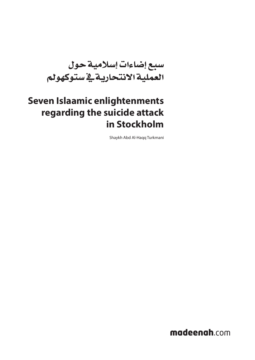سبع إضاءات إسالمية حول العملية االنتحارية يف ستوكهولم

# **Seven Islaamic enlightenments regarding the suicide attack in Stockholm**

Shaykh Abd Al-Haqq Turkmani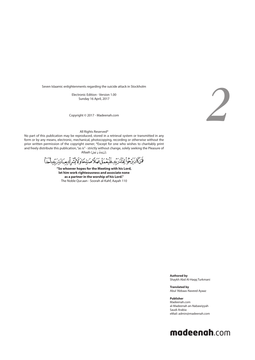Electronic Edition - Version 1.00 Sunday 16 April, 2017

Copyright © 2017 - Madeenah.com



All Rights Reserved\*

No part of this publication may be reproduced, stored in a retrieval system or transmitted in any form or by any means, electronic, mechanical, photocopying, recording or otherwise without the prior written permission of the copyright owner; \*Except for one who wishes to charitably print and freely distribute this publication, "as is" - strictly without change, solely seeking the Pleasure of .(**ُسْب َح َانُه َ و َ تَع َال**) Allaah

فَتَنَكَّانَ يَرْجُواْ لِقَاءَرَبِّهِۦفَلَيَعۡمَلَ عَمَلاً صَبْلِحَاوَلَا يُشۡرِكۡ بِعِبَادَةِ رَبِّه

**"So whoever hopes for the Meeting with his Lord, let him work righteousness and associate none as a partner in the worship of his Lord."** The Noble Qur.aan - Soorah al-Kahf, Aayah 110

> **Authored by** Shaykh Abd Al-Haqq Turkmani

**Translated by** Abul 'Abbaas Naveed Ayaaz

**Publisher** Madeenah.com al-Madeenah an-Nabawiyyah Saudi Arabia eMail: admin@madeenah.com

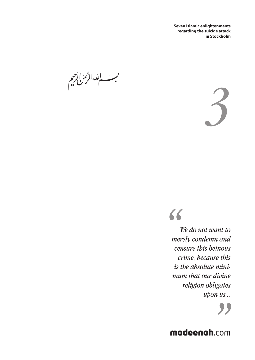بر سابتدالرحمن اترجم



*"*

*We do not want to merely condemn and censure this heinous crime, because this is the absolute minimum that our divine religion obligates upon us...*

**99**<br>**P**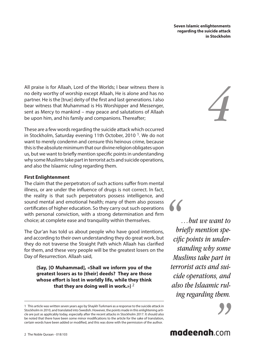All praise is for Allaah, Lord of the Worlds; I bear witness there is no deity worthy of worship except Allaah, He is alone and has no partner. He is the [true] deity of the first and last generations. I also bear witness that Muhammad is His Worshipper and Messenger, sent as Mercy to mankind – may peace and salutations of Allaah be upon him, and his family and companions. Thereafter;

These are a few words regarding the suicide attack which occurred in Stockholm, Saturday evening 11th October, 2010<sup>1</sup>. We do not want to merely condemn and censure this heinous crime, because this is the absolute minimum that our divine religion obligates upon us, but we want to briefly mention specific points in understanding why some Muslims take part in terrorist acts and suicide operations, and also the Islaamic ruling regarding them.

#### **First Enlightenment**

The claim that the perpetrators of such actions suffer from mental illness, or are under the influence of drugs is not correct. In fact, the reality is that such perpetrators possess intelligence, and sound mental and emotional health; many of them also possess certificates of higher education. So they carry out such operations with personal conviction, with a strong determination and firm choice; at complete ease and tranquility within themselves.

The Qur'an has told us about people who have good intentions, and according to their own understanding they do great work, but they do not traverse the Straight Path which Allaah has clarified for them, and these very people will be the greatest losers on the Day of Resurrection. Allaah said,

**{Say, [O Muhammad], «Shall we inform you of the greatest losers as to [their] deeds? They are those whose effort is lost in worldly life, while they think that they are doing well in work.»}** 2

*4*

*"*

*…but we want to briefly mention specific points in understanding why some Muslims take part in terrorist acts and suicide operations, and also the Islaamic ruling regarding them.*

<sup>1</sup> This article was written seven years ago by Shaykh Turkmani as a response to the suicide attack in Stockholm in 2010, and translated into Swedish. However, the points made in this enlightening article are just as applicably today, especially after the recent attacks in Stockholm 2017. It should also be noted that there have been some minor modifications to the article for the sake of translation, certain words have been added or modified, and this was done with the permission of the author.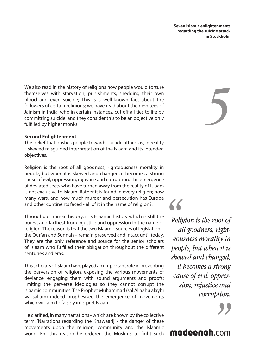We also read in the history of religions how people would torture themselves with starvation, punishments, shedding their own blood and even suicide; This is a well-known fact about the followers of certain religions; we have read about the devotees of Jainism in India, who in certain instances, cut off all ties to life by committing suicide, and they consider this to be an objective only fulfilled by higher monks!

#### **Second Enlightenment**

The belief that pushes people towards suicide attacks is, in reality a skewed misguided interpretation of the Islaam and its intended objectives.

Religion is the root of all goodness, righteousness morality in people, but when it is skewed and changed, it becomes a strong cause of evil, oppression, injustice and corruption. The emergence of deviated sects who have turned away from the reality of Islaam is not exclusive to Islaam. Rather it is found in every religion; how many wars, and how much murder and persecution has Europe and other continents faced - all of it in the name of religion?!

Throughout human history, it is Islaamic history which is still the purest and farthest from injustice and oppression in the name of religion. The reason is that the two Islaamic sources of legislation – the Qur'an and Sunnah – remain preserved and intact until today. They are the only reference and source for the senior scholars of Islaam who fulfilled their obligation throughout the different centuries and eras.

This scholars of Islaam have played an iimportant role in preventing the perversion of religion, exposing the various movements of deviance, engaging them with sound arguments and proofs; limiting the perverse ideologies so they cannot corrupt the Islaamic communities. The Prophet Muhammad (sal Allaahu alayhi wa sallam) indeed prophesised the emergence of movements which will aim to falsely interpret Islaam.

He clarified, in many narrations - which are known by the collective term: 'Narrations regarding the Khawaarij' - the danger of these movements upon the religion, community and the Islaamic world. For this reason he ordered the Muslims to fight such *5*

*"*

*Religion is the root of all goodness, righteousness morality in people, but when it is skewed and changed, it becomes a strong cause of evil, oppression, injustice and corruption.*

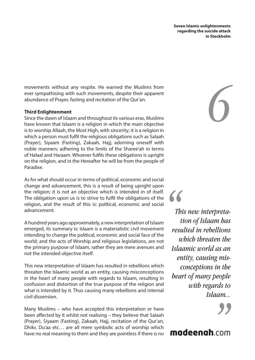*6*

movements without any respite. He warned the Muslims from ever sympathising with such movements, despite their apparent abundance of Prayer, fasting and recitation of the Qur'an.

#### **Third Enlightenment**

Since the dawn of Islaam and throughout its various eras, Muslims have known that Islaam is a religion in which the main objective is to worship Allaah, the Most High, with sincerity; it is a religion in which a person must fulfil the religious obligations such as Salaah (Prayer), Siyaam (Fasting), Zakaah, Hajj; adorning oneself with noble manners; adhering to the limits of the Sharee'ah in terms of Halaal and Haraam. Whoever fulfils these obligations is upright on the religion, and in the Hereafter he will be from the people of Paradise.

As for what should occur in terms of political, economic and social change and advancement, this is a result of being upright upon the religion; it is not an objective which is intended in of itself. The obligation upon us is to strive to fulfil the obligations of the religion, and the result of this is: political, economic and social advancement.

A hundred years ago approximately, a new interpretation of Islaam emerged, its summary is: Islaam is a materialistic civil movement intending to change the political, economic and social face of the world; and the acts of Worship and religious legislations, are not the primary purpose of Islaam, rather they are mere avenues and not the intended objective itself.

This new interpretation of Islaam has resulted in rebellions which threaten the Islaamic world as an entity, causing misconceptions in the heart of many people with regards to Islaam, resulting in confusion and distortion of the true purpose of the religion and what is intended by it. Thus causing many rebellions and internal civil dissension.

Many Muslims – who have accepted this interpretation or have been affected by it whilst not realising – they believe that Salaah (Prayer), Siyaam (Fasting), Zakaah, Hajj, recitation of the Qur'an, Dhikr, Du'aa etc… are all mere symbolic acts of worship which have no real meaning to them and they are pointless if there is no

*This new interpretation of Islaam has resulted in rebellions which threaten the Islaamic world as an entity, causing misconceptions in the heart of many people with regards to Islaam...*

*"*

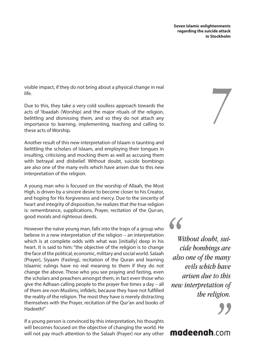*7*

visible impact, if they do not bring about a physical change in real life.

Due to this, they take a very cold soulless approach towards the acts of 'Ibaadah (Worship) and the major rituals of the religion, belittling and dismissing them, and so they do not attach any importance to learning, implementing, teaching and calling to these acts of Worship.

Another result of this new interpretation of Islaam is taunting and belittling the scholars of Islaam, and employing their tongues in insulting, criticising and mocking them as well as accusing them with betrayal and disbelief. Without doubt, suicide bombings are also one of the many evils which have arisen due to this new interpretation of the religion.

A young man who is focused on the worship of Allaah, the Most High, is driven by a sincere desire to become closer to his Creator, and hoping for His forgiveness and mercy. Due to the sincerity of heart and integrity of disposition, he realizes that the true religion is: remembrance, supplications, Prayer, recitation of the Quran, good morals and righteous deeds.

However the naïve young man, falls into the traps of a group who believe in a new interpretation of the religion – an interpretation which is at complete odds with what was [initially] deep in his heart. It is said to him: "the objective of the religion is to change the face of the political, economic, military and social world. Salaah (Prayer), Siyaam (Fasting), recitation of the Quran and learning Islaamic rulings have no real meaning to them if they do not change the above. Those who you see praying and fasting, even the scholars and preachers amongst them, in fact even those who give the Adhaan calling people to the prayer five times a day – all of them are non-Muslims, infidels, because they have not fulfilled the reality of the religion. The most they have is merely distracting themselves with the Prayer, recitation of the Qur'an and books of Hadeeth!"

If a young person is convinced by this interpretation, his thoughts will becomes focused on the objective of changing the world. He will not pay much attention to the Salaah (Prayer) nor any other

*Without doubt, suicide bombings are also one of the many evils which have arisen due to this new interpretation of the religion.* 

*"*

# **22**<br>**.**<br>**.**<br>**.**<br>**.**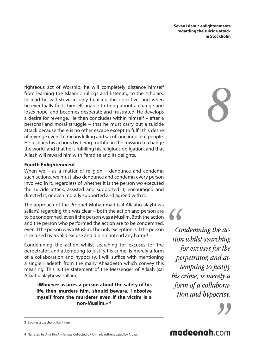righteous act of Worship; he will completely distance himself from learning the Islaamic rulings and listening to the scholars. Instead he will strive in only fulfilling the objective, and when he eventually finds himself unable to bring about a change and loses hope, and becomes desperate and frustrated. He develops a desire for revenge. He then concludes within himself – after a personal and moral struggle – that he must carry out a suicide attack because there is no other escape except to fulfil this desire of revenge even if it means killing and sacrificing innocent people. He justifies his actions by being truthful in the mission to change the world, and that he is fulfilling his religious obligation, and that Allaah will reward him with Paradise and its delights.

#### **Fourth Enlightenment**

When we – as a matter of religion – denounce and condemn such actions, we must also denounce and condemn every person involved in it, regardless of whether it is the person wo executed the suicide attack, assisted and supported it; encouraged and directed it; or even morally supported and agreed with it.

The approach of the Prophet Muhammad (sal Allaahu alayhi wa sallam) regarding this was clear – both the action and person are to be condemned, even if the person was a Muslim. Both the action and the person who performed the action are to be condemned, even if the person was a Muslim. The only exception is if the person is excused by a valid excuse and did not intend any harm 3.

Condemning the action whilst searching for excuses for the perpetrator, and attempting to justify his crime, is merely a form of a collaboration and hypocrisy. I will suffice with mentioning a single Hadeeth from the many Ahaadeeth which convey this meaning. This is the statement of the Messenger of Allaah (sal Allaahu alayhi wa sallam):

**«Whoever assures a person about the safety of his life then murders him, should beware. I absolve myself from the murderer even if the victim is a non-Muslim.»** 4

*8*

*Condemning the action whilst searching for excuses for the perpetrator, and attempting to justify his crime, is merely a form of a collaboration and hypocrisy.* **66**<br>*Co*<br>tion<br>*J* 



4 Narrated by Amr Ibn Al-Hamaq; Collected by Ahmad; authenticated by Albaani



<sup>3</sup> Such as a psychological illness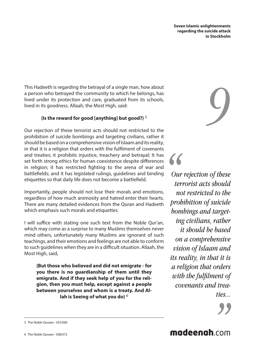This Hadeeth is regarding the betrayal of a single man, how about a person who betrayed the community to which he belongs, has lived under its protection and care, graduated from its schools, lived in its goodness. Allaah, the Most High, said:

#### **{Is the reward for good [anything] but good?}** 5

Our rejection of these terrorist acts should not restricted to the prohibition of suicide bombings and targeting civilians, rather it should be based on a comprehensive vision of Islaam and its reality, in that it is a religion that orders with the fulfilment of covenants and treaties; it prohibits injustice, treachery and betrayal; It has set forth strong ethics for human coexistence despite differences in religion; it has restricted fighting to the arena of war and battlefields; and it has legislated rulings, guidelines and binding etiquettes so that daily life does not become a battlefield.

Importantly, people should not lose their morals and emotions, regardless of how much animosity and hatred enter their hearts. There are many detailed evidences from the Quran and Hadeeth which emphasis such morals and etiquettes.

I will suffice with stating one such text from the Noble Qur'an, which may come as a surprise to many Muslims themselves never mind others, unfortunately many Muslims are ignorant of such teachings, and their emotions and feelings are not able to conform to such guidelines when they are in a difficult situation. Allaah, the Most High, said,

**{But those who believed and did not emigrate - for you there is no guardianship of them until they emigrate. And if they seek help of you for the religion, then you must help, except against a people between yourselves and whom is a treaty. And Allah is Seeing of what you do}** 6

*9*

*Our rejection of these terrorist acts should not restricted to the prohibition of suicide bombings and targeting civilians, rather it should be based on a comprehensive vision of Islaam and its reality, in that it is a religion that orders with the fulfilment of covenants and treaties...*

*"*



<sup>5</sup> The Noble Quraan - 055:060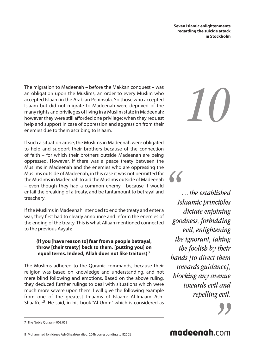The migration to Madeenah – before the Makkan conquest – was an obligation upon the Muslims, an order to every Muslim who accepted Islaam in the Arabian Peninsula. So those who accepted Islaam but did not migrate to Madeenah were deprived of the many rights and privileges of living in a Muslim state in Madeenah; however they were still afforded one privilege: when they request help and support in case of oppression and aggression from their enemies due to them ascribing to Islaam.

If such a situation arose, the Muslims in Madeenah were obligated to help and support their brothers because of the connection of faith – for which their brothers outside Madeenah are being oppressed. However, if there was a peace treaty between the Muslims in Madeenah and the enemies who are oppressing the Muslims outside of Madeenah, in this case it was not permitted for the Muslims in Madeenah to aid the Muslims outside of Madeenah – even though they had a common enemy - because it would entail the breaking of a treaty, and be tantamount to betrayal and treachery.

If the Muslims in Madeenah intended to end the treaty and enter a war, they first had to clearly announce and inform the enemies of the ending of the treaty. This is what Allaah mentioned connected to the previous Aayah:

#### **{If you [have reason to] fear from a people betrayal, throw [their treaty] back to them, [putting you] on equal terms. Indeed, Allah does not like traitors}** 7

The Muslims adhered to the Quranic commands, because their religion was based on knowledge and understanding, and not mere blind following and emotions. Based on the above ruling, they deduced further rulings to deal with situations which were much more severe upon them. I will give the following example from one of the greatest Imaams of Islaam: Al-Imaam Ash-Shaafi'ee<sup>8</sup>. He said, in his book "Al-Umm" which is considered as *10*

*…the established Islaamic principles dictate enjoining goodness, forbidding evil, enlightening the ignorant, taking the foolish by their hands [to direct them towards guidance], blocking any avenue towards evil and repelling evil.*

*"*

**9**<br> **19**<br> **19**<br> **19**<br> **19** 

8 Muhammad Ibn Idrees Ash-Shaafi'ee, died: 204h corresponding to 820CE

<sup>7</sup> The Noble Quraan - 008:058

madeenah.com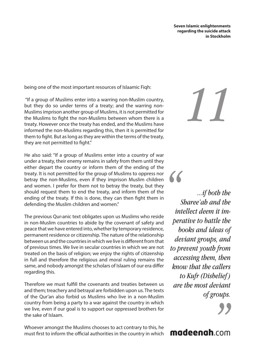being one of the most important resources of Islaamic Fiqh:

 "If a group of Muslims enter into a warring non-Muslim country, but they do so under terms of a treaty; and the warring non-Muslims imprison another group of Muslims, it is not permitted for the Muslims to fight the non-Muslims between whom there is a treaty. However once the treaty has ended, and the Muslims have informed the non-Muslims regarding this, then it is permitted for them to fight. But as long as they are within the terms of the treaty, they are not permitted to fight."

He also said: "If a group of Muslims enter into a country of war under a treaty, their enemy remains in safety from them until they either depart the country or inform them of the ending of the treaty. It is not permitted for the group of Muslims to oppress nor betray the non-Muslims, even if they imprison Muslim children and women. I prefer for them not to betray the treaty, but they should request them to end the treaty, and inform them of the ending of the treaty. If this is done, they can then fight them in defending the Muslim children and women."

The previous Qur›anic text obligates upon us Muslims who reside in non-Muslim countries to abide by the covenant of safety and peace that we have entered into, whether by temporary residence, permanent residence or citizenship. The nature of the relationship between us and the countries in which we live is different from that of previous times. We live in secular countries in which we are not treated on the basis of religion; we enjoy the rights of citizenship in full and therefore the religious and moral ruling remains the same, and nobody amongst the scholars of Islaam of our era differ regarding this.

Therefore we must fulfill the covenants and treaties between us and them; treachery and betrayal are forbidden upon us. The texts of the Qur'an also forbid us Muslims who live in a non-Muslim country from being a party to a war against the country in which we live, even if our goal is to support our oppressed brothers for the sake of Islaam.

Whoever amongst the Muslims chooses to act contrary to this, he must first to inform the official authorities in the country in which *11*

*...if both the Sharee'ah and the intellect deem it imperative to battle the books and ideas of deviant groups, and to prevent youth from accessing them, then know that the callers to Kufr (Disbelief ) are the most deviant of groups.*

*"*

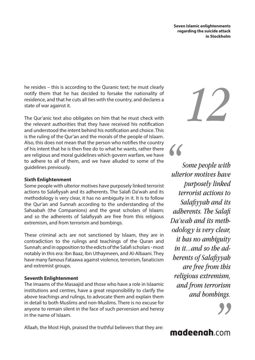he resides – this is according to the Quranic text; he must clearly notify them that he has decided to forsake the nationality of residence, and that he cuts all ties with the country, and declares a state of war against it.

The Qur'anic text also obligates on him that he must check with the relevant authorities that they have received his notification and understood the intent behind his notification and choice. This is the ruling of the Qur'an and the morals of the people of Islaam. Also, this does not mean that the person who notifies the country of his intent that he is then free do to what he wants, rather there are religious and moral guidelines which govern warfare, we have to adhere to all of them, and we have alluded to some of the guidelines previously.

#### **Sixth Enlightenment**

Some people with ulterior motives have purposely linked terrorist actions to Salafiyyah and its adherents. The Salafi Da'wah and its methodology is very clear, it has no ambiguity in it. It is to follow the Qur'an and Sunnah according to the understanding of the Sahaabah (the Companions) and the great scholars of Islaam; and so the adherents of Salafiyyah are free from this religious extremism, and from terrorism and bombings.

These criminal acts are not sanctioned by Islaam, they are in contradiction to the rulings and teachings of the Quran and Sunnah; and in opposition to the edicts of the Salafi scholars - most notably in this era: Ibn Baaz, Ibn Uthaymeen, and Al-Albaani. They have many famous Fataawa against violence, terrorism, fanaticism and extremist groups.

#### **Seventh Enlightenment**

The Imaams of the Masaajid and those who have a role in Islaamic institutions and centres, have a great responsibility to clarify the above teachings and rulings, to advocate them and explain them in detail to both Muslims and non-Muslims. There is no excuse for anyone to remain silent in the face of such perversion and heresy in the name of Islaam.

Allaah, the Most High, praised the truthful believers that they are:



*Some people with ulterior motives have purposely linked terrorist actions to Salafiyyah and its adherents. The Salafi Da'wah and its methodology is very clear, it has no ambiguity in it...and so the adherents of Salafiyyah are free from this religious extremism, and from terrorism and bombings.*

*"*

*"*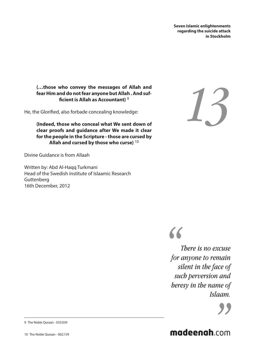#### **{…those who convey the messages of Allah and fear Him and do not fear anyone but Allah . And sufficient is Allah as Accountant}** 9

He, the Glorified, also forbade concealing knowledge:

**{Indeed, those who conceal what We sent down of clear proofs and guidance after We made it clear for the people in the Scripture - those are cursed by Allah and cursed by those who curse}** 10

Divine Guidance is from Allaah

Written by: Abd Al-Haqq Turkmani Head of the Swedish institute of Islaamic Research Guttenberg 16th December, 2012





*There is no excuse for anyone to remain silent in the face of such perversion and heresy in the name of Islaam.*



#### 9 The Noble Quraan - 033:039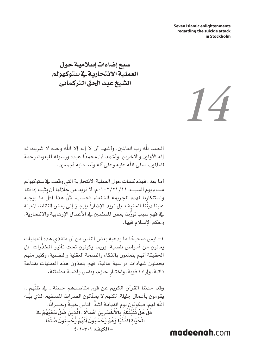سبع إضاءات إسالمية حول العملية االنتحارية يف ستوكهولم الشيخ عبد احلق التركماني

الحمد لله رب العالمين، وأشهد أن لا إله إلا الله وحده لا شريك له إله الأولىن والآخرين، وأشهد أن محمدًا عبده ورسوله المبعوث رحمة للعالمين، صلى الله عليه وعلى آله وأصحابه أجمعين.

أما بعد: فهذه كلمات حول العملية االنتحارية التي وقعت يف ستوكهولم مساء يوم السبت: 0102/21/11م؛ ال نريد من خاللها أن نثبت إدانتنا واستنكارنا لهذه الجريمة الشنعاء فحسب، لأنّ هذا أقل ما يوجبه ُّ علينا دينُنا الحنيف، بل نريد الإشارةُ بإيجاز إلى بعض النقاط المعينة ُّ يف فهم سبب تورط بعض املسلمني يف األعمال اإلرهابية واالنتحارية، وحكم الإسلام فيها.

ً -1 ليس صحيحا ما يدعيه بعض الناس من أن منفذي هذه العمليات ِّ يعانون من أمراض نفسية، ورمبا يكونون حتت تأثير املخدرات، بل احلقيقة أنهم يتمتعون بالذكاء والصحة العقلية والنفسية، وكثير منهم يحملون شهادات دراسية عالية، فهم ينفذون هذه العمليات بقناعة ٍ ذاتية، وإرادة قوية، واختيار جازم، ونفس راضية مطمئنة.

وقد حدثنا القرآن الكريم عن قوم مقاصدهم حسنة ـ ية ظنِّهم ـ، َّ يقومون بأعمال جليلة، لكنهم ال يسلكون الصراط املستقيم الذي بينه الله لهم، فيكونون يوم القيامة أشدَّ الناس خيبةً وخسرانًا: قُلْ هَلْ نُنَبِّئُكُمْ بِالْأَخْسَرِينَ أَعْمَالًا . الَّذِينَ ضَلَّ سَعْيُهُمْ قِ الْحَيَاةِ الدُّنْيَا وَهُمْ يَـُحْسَبُونَ أَنَّهُمْ يُـُحْسِنُونَ صُنْعًا . **ُّ - الكهف: 401-301**

*14*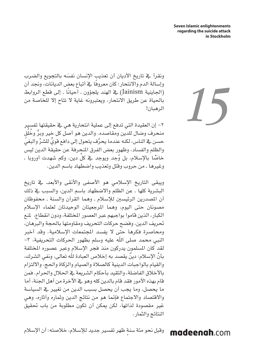*15*

ونقرأ يخ تاريخ الأديان أن تعذيب الإنسان نفسَه بالتجويع والضرب ً وإسالة الدم واالنتحار؛ كان معروفا يف أتباع بعض الديانات، وجند أن )اجلاينية Jainism ً ) يف الهند يلجؤون ـ أحيانا ـ إلى قطع الروابط باحلياة عن طريق االنتحار، ويعتبرونه غاية ال تتاح إال للخاصة من الرهبان!

-2 إن العقيدة التي تدفع إلى عملية انتحارية هي يف حقيقتها تفسير منحرف وضال للدين ومقاصده. والدين هو أصل كل خير وبرٍّ وخُلُق حسن ية الناس، لكنه عندما يحرَّف يتحول إلى دافع قويٍّ للشرِّ والبغيِّ والظلم والفساد، وظهور بعض الفرق المنحرفة عن حقيقة الدين ليس خاصًا بالإسلام، بل وُجِد ويوجِد في كلِّ دين، وكم شهدت أوروبا ـ ّ وغيرها ـ من حروب وقتل وتعذيب واضطهاد باسم الدين.

ويبقى التاريخ الإسلامى هو الأصفى والأنقى والأبعد. يخ تاريخ البشرية كلها ـ عن الظلم واالضطهاد باسم الدين، والسبب يف ذلك أن المصدرين الرئيسين للإسلام ـ وهما القرآن والسنة ـ محفوظان مصونان حتى اليوم، وهما المرجعيتان الوحيدتان لعلماء الإسلام الكبار، الذين قاموا بواجبهم عبر العصور املختلفة، ودون انقطاع، ملنع تحريف الدين، وفضح حركات التحريف ومقاومتها بالحجة والبرهان، ومحاصرة فكرها حتى ال يفسد املجتمعات اإلسالمية. وقد أخبر النبي محمد صلى الله عليه وسلم بظهور الحركات التحريفية، ٣– لقد كان المسلمون يدركون منذ فجر الإسلام وعبر عصوره المختلفة َّ بأن ٌ اإلسالم: دين يقصد به إخالص العبادة هلل تعالى، ونفي الشرك، والقيام بالواجبات الدينية كالصالة والصيام والزكاة واحلج، وااللتزام بالأخلاق الفاضلة، والتقيد بأحكام الشريعة يخ الحلال والحرام. فمن قام بهذه الأمور فقد قام بالدين كله وهو ية الآخرة من أهل الجنة، أما ما يحصل، وما يجب أن يحصل بسبب الدين من تغيير يف السياسة واالقتصاد واالجتماع فإمنا هو من نتائج الدين وثماره وآثاره، وهي غير مقصودة لذاتها، لكن ميكن أن تكون مطلوبة من باب حتقيق النتائج والثمار.

madeenah.com وقبل نحو مئة سنة ظهر تفسير جديد للإسلام، خلاصته: أن الإسلام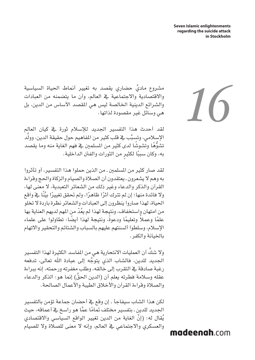مشروع ماديِّ حضاري يقصد به تغيير أنماط الحياة السياسية واالقتصادية واالجتماعية يف العالم، وأن ما يتضمنه من العبادات والشرائع الدينية الخالصة ليس هي المقصد الأساس من الدين، بل هي وسائل غير مقصودة لذاتها.

لقد أحدث هذا التفسير الجديد للإسلام ثورة في كيان العالم الإسبلامي، وتسبَّب في قلب كثير من المفاهيم حول حقيقة الدين، وولَّد تشوُّهًا وتشوشًا لدى كثير من المسلمين ية فهم الغاية منه وما يقصد به، وكان سببًا لكثير من الثورات والفتن الداخلية.

لقد صار كثير من املسلمني ـ من الذين حملوا هذا التفسير، أو تأثروا به وهم ال يشعرون ـ يعتقدون أن الصالة والصيام والزكاة واحلج وقراءة القرآن والذكر والدعاء وغير ذلك من الشعائر التعبدية، ال معنى لها، ً وال فائدة منها؛ إن لم تترك أثر ً ا ظاهر ً ا، ولم حتقق تغيير ِّ ا بيًنا يف واقع احلياة، لهذا صاروا ينظرون إلى العبادات والشعائر نظرة باردة ال تخلو ُ من امتهان واستخفاف، ونتيجة لهذا لم يعْد من املهم لديهم العناية بها علمًا وعملاً وتعليمًا ودعوةً، ونتيجة لهذا أيضًا: تطاولوا على علماء اإلسالم، وسلطوا ألسنتهم عليهم بالسباب والشتائم والتحقير واالتهام باخليانة والكفر.

وال شك أن العمليات االنتحارية هي من املفاسد الكثيرة لهذا التفسير َّ َّ اجلديد للدين، فالشاب الذي يتوجه إلى عبادة اهلل تعالى، تدفعه رغبة صادقة يف التقرب إلى خالقه، وطلب مغفرته ورحمته، إنه ببراءة عقله وسلامة فطرته يعلم أن (الدين الحقّ) إنما هو: الذكر والدعاء والصلاة وقراءة القرآن والأخلاق الطيبة والأعمال الصالحة.

لكن هذا الشاب سيفاجأ ـ إن وقع يف أحضان جماعة تؤمن بالتفسير الجديد للدين ـ بتفسير مختلف تمامًا عمَّا هو راسخ ي<sup>ف</sup> أعماقه، حيث يُقال له: (إنَّ الغاية من الدين تغيير الواقع السياسي والاقتصادي والعسكري والاجتماعي يخ العالم، وإنه لا معنى للصلاة ولا للصيام *16*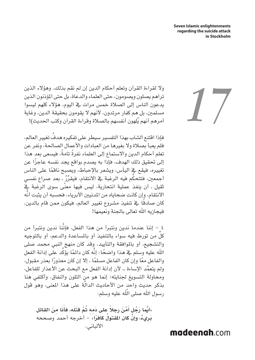وال لقراءة القرآن وتعلم أحكام الدين إن لم نقم بذلك. وهؤالء الذين تراهم يصلون ويصومون، حتى العلماء والدعاة، بل حتى املؤذنون الذين يدعون الناس إلى الصالة خمس مرات يف اليوم، هؤالء كلهم ليسوا مسلمني، بل هم كفار مرتدون، ألنهم ال يقومون بحقيقة الدين، وغاية أمرهم أنهم يُلهون أنفسهم بالصلاة وقراءة القرآن وكتب الحديث)!

ُ فإذا اقتنع الشاب بهذا التفسير سيطر على تفكيره هدف تغيير العالم، فلم يعبأ بصلاة ولا بغيرها من العبادات والأعمال الصالحة، ونفر عن ً تعلم أحكام الدين واالستماع إلى العلماء نفرة ً تامة، فيسعى بعد هذا ً إلى حتقيق ذلك الهدف، فإذا به يصدم بواقع يجد نفسه عاجزا عن ً تغييره، فيقع يف اليأس، ويشعر باإلحباط، ويصبح ناقما على الناس أجمعين، فتتحكّم فيه الرغبة ية الانتقام، فيقرِّرُ ـ بعد صراع نفسي َّ ً ثقيل ـ أن ينفذ عملية انتحارية، ليس فيها معنى سوى الرغبة يف الانتقام، وإن كانت ضحاياه من المدنيين الأبرياء، فحسبه أن يثبت أنَّه ً كان صادقا يف تنفيذ مشروع تغيير العالم، فيكون ممن قام بالدين، فيجازيه الله تعالى بالجنة ونعيمها!

4 - إننا عندما ندين ونتبرأ من هذا الفعل، فإننا ندين ونتبرأ من َّ ِّكل من تورط فيه سواء بالتنفيذ أو باملساعدة والدعم، أو بالتوجيه والتشجيع، أو باملوافقة والتأييد، وقد كان منهج النبي محمد صلى الله عليه وسلم يـْ هذا واضحًا: إنَّه كان دائمًا يؤكِّد على إدانة الفعل والفاعل معًا وإن كان الفاعل مسلمًا ـ إلا إن كان معذورًا بعذر مقبول، ولم يتعمَّد الإساءة ـ، لأن إدانة الفعل مع البحث عن الأعذار للفاعل، ومحاولة التسويغ لجنايته؛ إنما هو منِ التلون والنفاق. وأكتفي هنا بذكر حديث واحدٍ من الأحاديث الدالة على هذا المعنى، وهو قول َّ رسول الله صلى اللّٰه عليه وسلم:

**َ َن ِ ا م َن القاتل َ َّم َن ً رجال َ على دِمِه ُ ثَّم َ قتَله، فأ ُّ »أي َ ا ر ُجٍل أ َبِر ٌيء ْ ، وإن ُ كان املقتول ً كافرا«** - أخرجه أحمد وصححه الألباني.

# *17*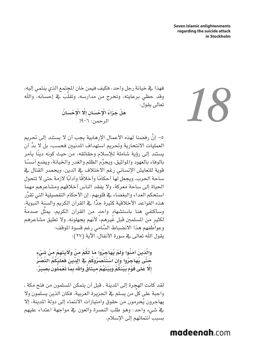فهذا يف خيانة رجل واحد، فكيف فيمن خان املجتمع الذي ينتمي إليه، وقد حظي برعايته، وتخرج من مدارسه، وتقلّبَ في إحسانه، واللّه تعالى يقول: **ِ ْح َس ُان ِ َّل ْ ال ِ ْح َس ِان إ َه ْل َ جَز ُاء ْ ال** الرحمن: 06؟!

َّ -5 إن رفضنا لهذه األعمال اإلرهابية يجب أن ال يستند إلى حترمي العمليات الانتحارية وتحريم استهداف المدنيين فحسب، بل لا بدَّ أن ً يستند إلى رؤية شاملة لإلسالم وحقائقه، من حيث كونه دينا يأمر بالوفاء بالعهود والمواثيق، ويحرِّم الظلم والغدر والخيانة، ويضع أسسًا قوية للتعايش الإنساني رغم الاختلاف ية الدين، ويحصر القتال ية ساحة الحرب، ويجعل لها أحكامًا وأخلاقًا وآدابًا لازمة حتى لا تتحول احلياة إلى ساحة معركة، وال يفقد الناس أخالقهم ومشاعرهم مهما ِّ استحكم العداء والبغضاء يف قلوبهم. إن األحكام التفصيلية التي تقرر هذه القواعد الأخلاقية كثيرة جدًا يف القرآن الكريم والسنة النبوية، ّ وسأكتفي هنا باستشهادٍ واحدٍ من القرآن الكريم، يمثّل صدمةً لكثير من المسلمين قبل غُيرهم، ً لأنهم يجهلونه، ولا تطيق مشاعرهم َّ وعواطفهم هذا االنضباط السامي رغم قسوة املوقف: يقول الله تعالى فے سورة الأنفال، الآية (٢٧):

وَائَّدٰينَ آمَنُوا وَلَمْ يُهَاجِرُوا مَا لَكُمْ منْ وَلَايَتهمْ منْ شَيْء **ْ ُكُم َّ الن ْصُر ِ ِن ْ اسَتْن َصُر ُوكْم يف ِّ الد ِين َ فَعَلي َحَّت ُى يَه ِاجُر َ وا وإ** إِلَّا عَلَى قَوْمٍ بِّيْنَكُّمُ وَبَيْنَهُمْ مِيثَاقٌ وَاللَّه<sup>ِ</sup> بِمَا تَعْمَلُونَٰ بَصِيرٌ.

لقد كانت الهجرة إلى المدينة ـ قبل أن يتمكن المسلمون من فتح مكة ـ ِّ واجبة على كل من يسلم يف اجلزيرة العربية، فكان الذين يسلمون وال يهاجرون يُحرمون من حقوق وامتيازات الانتماء إلى دولة المدينة، إلا يف شيء واحد: وهو طلب النصرة والعون يف مواجهة اعتداء عليهم بسبب انتمائهم إلى اإلسالم.

# *18*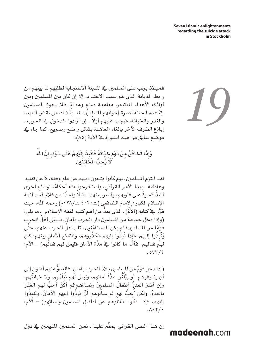فحينئذ يجب على المسلمين يفـ المدينة الاستجابة لطلبهم لما بينهم من رابط الديانة الذي هو سبب االعتداء، إال إن كان بني املسلمني وبني أولئك الأعداء المعتدين معاهدة صلح وهدنة، فلا يجوز للمسلمين يف هذه احلالة نصرة إخوانهم املسلمني، ملا يف ذلك من نقض العهد، والغدر والخيانة، فيجب عليهم أولاً . إن أرادوا الدخول في الحرب . إبالغ الطرف اآلخر بإلغاء املعاهدة بشكل واضح وصريح، كما جاء يف موضع سابق من هذه السورة في الآية (٨٥):

*19*

وَإِمَّا تَخَافَنَّ مِنْ قَوْمٍ خِيَانَةً فَانْبِذْ إِلَيْهِمْ عَلَى سَوَاءٍ إِنَّ اللَّهَ **ب ْ َ ال ِائِن َني َل ُ يِح ُّ**

لقد التزم المسلمون ـ يوم كانوا يتبعون دينهم عن علم وفقه، لا عن تقليد ً وعاطفة ـ بهذا األمر القرآني، واستخرجوا منه أحكاما لوقائع أخرى أشدٌ قسوةً على قلوبهم، وأضرب لهذا مثالاً واحدًا من كلام أحد أئمة الإسلام الكبار: إلإمام الشافعي (ت: ٤٠٢ هـ/٢٨٠م) رحمه الله، حيث ُّ ( ـ الذي يعد من أهم كتب الفقه اإلسالمي ـ ما يلي: م َّقرر يف كتابه )األ **ُ** ُ (وإذا دخل جماعة من المسلمين دار الحرب بأمانٍ، فسبَى أهلَ الحربِ قومًا من المسلمين؛ لم يكن للمستأمَنين قتال أهلً الحرب عنهم، حتَّى يَنَّبِذَوا إليهم، فإذا نَبَذَوا إليهم فخَذَّروهم، وانقطع الأمانٍ بينهم؛ كان َّ لهم قتالهم. فأمَّا ما كانوا ية مدَّة الأمان فليسَ لهم قتالُهم) – الأم:  $.0YY/2$ 

(إذا دخل قومٌ من المسلمين بلادَ الحرب بأمان؛ فالعدوٌّ منهم آمنون إلى أن يفارقوهم، أو يبْلَغُوا مدَّةَ أمانِهم، وليسَ لَهم ظَلَمُهم، وِلا خيانَتُهِم. وإن أَسَرَ العدوُّ أطفالَ المسلمينَ ونسِاءَهمِ؛لم أكُنّ أَحبُّ لهم الغَدّرَ بالعدوِّ، ولكن أَحِبُّ لهمٍ لو سأَلُوهم أَنَّ يَردُّوا إليهم الأمانَ، ويَنۡبِذُوا إليهم، فإذا فعَلُوا؛ قاتلُوهم عن أطفالِ المسلمين ونسائِهم) - الأم:  $.127/2$ 

ِّ إن هذا النص القرآني يحتم علينا ـ نحن املسلمني املقيمني يف دول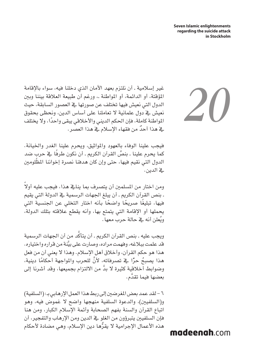غير إسلامية ـ أن نلتزم بعهد الأمان الذي دخلنا فيه، سواء بالإقامة املؤقتة، أو الدائمة، أو املواطنة ـ، ورغم أن طبيعة العالقة بيننا وبني الدول التي نعيش فيها تختلف عن صورتها يف العصور السابقة، حيث نعيش يف دول علمانية ال تعاملنا على أساس الدين، ونحظى بحقوق المواطنة كاملة، فإن الحكم الديني والأخلاقي يبقى واحدًا، ولا يختلف ية هذا أحدٌ من فقهاء الإسلام ية هذا العصر.

فيجب علينا الوفاء بالعهود واملواثيق، ويحرم علينا الغدر واخليانة. كما يحرم علينا ـ بنصِّ القرآن الكريم ـ أن نكون طرفًا \_ف حرب ضد الدول التي نقيم فيها، حتى وإن كان هدفنا نصرة إخواننا املظلومني يف الدين.

ً ومن اختار من المسلمين أن يتصرف بما ينايخ هذا، فيجب عليه أولاً ـ بنص القرآن الكرمي ـ أن يبلغ اجلهات الرسمية يف الدولة التي يقيم فيها، تبليغًا صريحًا واضحًا بأنه اختار التخلي عن الجنسية التي يحملها أو اإلقامة التي يتمتع بها، وأنه يقطع عالقته بتلك الدولة، ويُعلن أنه ية حالة حرب معها .

ويجب عليه ـ بنص القرآن الكرمي ـ أن يتأكد من أن اجلهات الرسمية .<br>ا َّ قد علمت ببالغه، وفهمت مراده، وصارت على بينة من قراره واختياره. هذا هو حكم القرآن، وأخالق أهل اإلسالم. وهذا ال يعني أن من فعل هذا يصبحُ حرًّا ـ2ْ تصرفاتهِ، لأنَّ للحرب والمواجهة أحكامًا دينية، َّ وضوابط أخالقية كثيرة ال بد من االلتزام بجميعها، وقد أشرنا إلى بعضها فيما تقدَّم.

6 - لقد عمد بعض املغرضني إلى ربط هذا العمل اإلرهابي بـ: )السلفية( و(السلفيين)، والدعوة السلفية منهجها واضح لا غموض فيه، وهو اتباع القرآن والسنة بفهم الصحابة وأئمة اإلسالم الكبار، ومن هنا فإن السلفيني يتبرؤون من الغلو يف الدين ومن اإلرهاب والتفجير، أن هذه الأعمال الإجرامية لا يقرُّها دين الإسلام، وهي مضادة لأحكام *20*